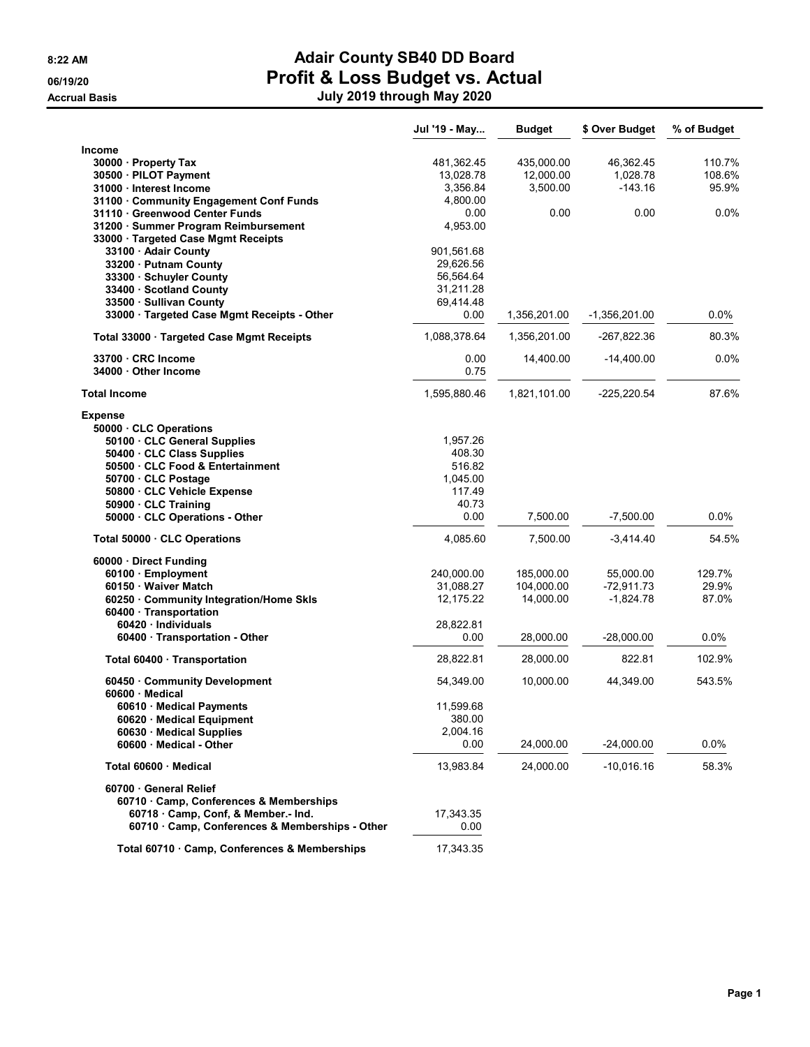# 8:22 AM **Adair County SB40 DD Board OG/19/20 Profit & Loss Budget vs. Actual** Accrual Basis July 2020 through May 2020 through May 2020 through May 2020

| July 2019 through May 2020 |  |  |  |
|----------------------------|--|--|--|
|----------------------------|--|--|--|

|                                                                                      | Jul '19 - May     | <b>Budget</b> | \$ Over Budget | % of Budget |
|--------------------------------------------------------------------------------------|-------------------|---------------|----------------|-------------|
| Income                                                                               |                   |               |                |             |
| 30000 · Property Tax                                                                 | 481,362.45        | 435,000.00    | 46,362.45      | 110.7%      |
| 30500 · PILOT Payment                                                                | 13,028.78         | 12,000.00     | 1,028.78       | 108.6%      |
| 31000 Interest Income                                                                | 3,356.84          | 3,500.00      | $-143.16$      | 95.9%       |
| 31100 Community Engagement Conf Funds                                                | 4,800.00          |               |                |             |
| 31110 · Greenwood Center Funds                                                       | 0.00              | 0.00          | 0.00           | 0.0%        |
| 31200 · Summer Program Reimbursement                                                 | 4,953.00          |               |                |             |
| 33000 · Targeted Case Mgmt Receipts                                                  |                   |               |                |             |
| 33100 · Adair County                                                                 | 901,561.68        |               |                |             |
| 33200 Putnam County                                                                  | 29,626.56         |               |                |             |
| 33300 · Schuyler County                                                              | 56,564.64         |               |                |             |
| 33400 Scotland County                                                                | 31,211.28         |               |                |             |
| 33500 · Sullivan County<br>33000 · Targeted Case Mgmt Receipts - Other               | 69,414.48<br>0.00 | 1,356,201.00  | -1,356,201.00  | $0.0\%$     |
| Total 33000 · Targeted Case Mgmt Receipts                                            | 1,088,378.64      | 1,356,201.00  | -267,822.36    | 80.3%       |
|                                                                                      |                   |               |                |             |
| 33700 CRC Income<br>34000 Other Income                                               | 0.00<br>0.75      | 14,400.00     | $-14,400.00$   | 0.0%        |
| <b>Total Income</b>                                                                  | 1,595,880.46      | 1,821,101.00  | $-225,220.54$  | 87.6%       |
| <b>Expense</b>                                                                       |                   |               |                |             |
| 50000 CLC Operations                                                                 |                   |               |                |             |
| 50100 CLC General Supplies<br>50400 · CLC Class Supplies                             | 1,957.26          |               |                |             |
| 50500 CLC Food & Entertainment                                                       | 408.30<br>516.82  |               |                |             |
| 50700 CLC Postage                                                                    | 1,045.00          |               |                |             |
| 50800 · CLC Vehicle Expense                                                          | 117.49            |               |                |             |
| 50900 · CLC Training                                                                 | 40.73             |               |                |             |
| 50000 CLC Operations - Other                                                         | 0.00              | 7,500.00      | $-7,500.00$    | 0.0%        |
| Total 50000 CLC Operations                                                           | 4,085.60          | 7,500.00      | $-3,414.40$    | 54.5%       |
| 60000 · Direct Funding                                                               |                   |               |                |             |
| 60100 · Employment                                                                   | 240,000.00        | 185,000.00    | 55,000.00      | 129.7%      |
| 60150 Waiver Match                                                                   | 31,088.27         | 104,000.00    | $-72,911.73$   | 29.9%       |
| 60250 Community Integration/Home Skls                                                | 12,175.22         | 14,000.00     | $-1,824.78$    | 87.0%       |
| 60400 · Transportation                                                               |                   |               |                |             |
| 60420 Individuals                                                                    | 28,822.81         |               |                |             |
| 60400 · Transportation - Other                                                       | 0.00              | 28,000.00     | $-28,000.00$   | 0.0%        |
| Total 60400 · Transportation                                                         | 28,822.81         | 28,000.00     | 822.81         | 102.9%      |
| 60450 Community Development                                                          | 54,349.00         | 10,000.00     | 44,349.00      | 543.5%      |
| 60600 Medical                                                                        |                   |               |                |             |
| 60610 · Medical Payments                                                             | 11,599.68         |               |                |             |
| 60620 Medical Equipment                                                              | 380.00            |               |                |             |
| 60630 Medical Supplies                                                               | 2,004.16          |               |                |             |
| 60600 Medical - Other                                                                | 0.00              | 24,000.00     | $-24,000.00$   | 0.0%        |
| Total 60600 · Medical                                                                | 13,983.84         | 24,000.00     | $-10,016.16$   | 58.3%       |
| 60700 General Relief                                                                 |                   |               |                |             |
| 60710 Camp, Conferences & Memberships                                                |                   |               |                |             |
| 60718 Camp, Conf, & Member.- Ind.<br>60710 · Camp, Conferences & Memberships - Other | 17,343.35         |               |                |             |
|                                                                                      | 0.00              |               |                |             |
| Total 60710 · Camp, Conferences & Memberships                                        | 17,343.35         |               |                |             |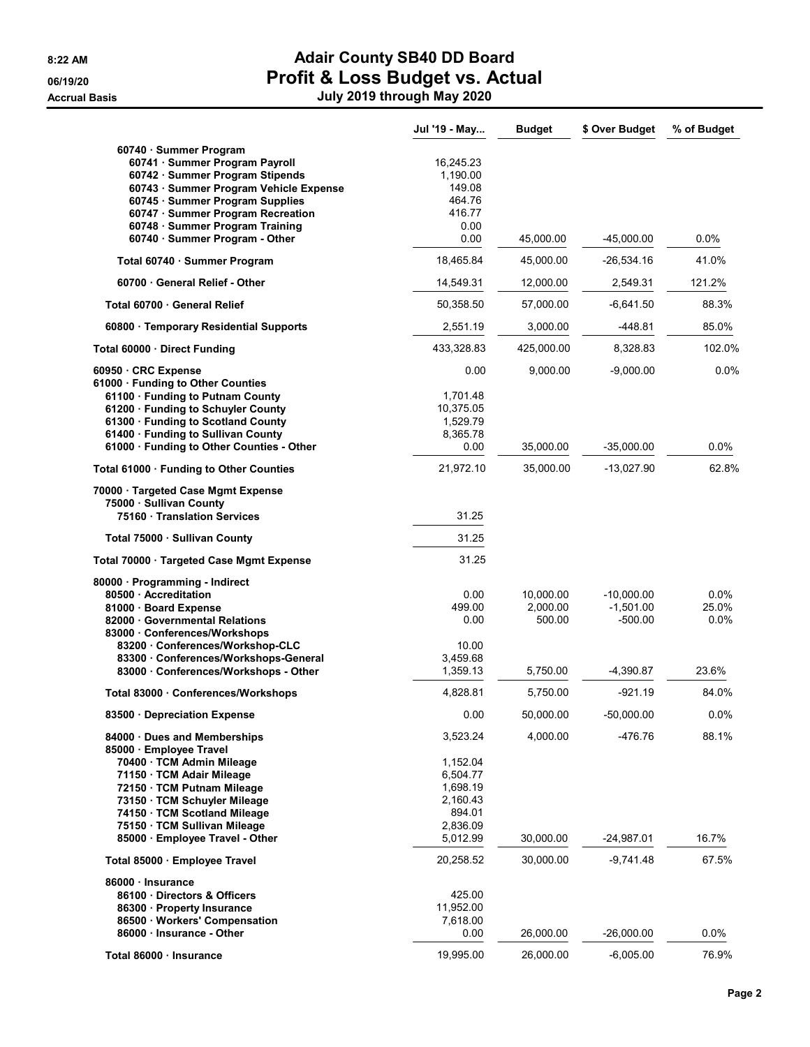|                                                                                                                                       | Jul '19 - May                   | <b>Budget</b> | \$ Over Budget | % of Budget |
|---------------------------------------------------------------------------------------------------------------------------------------|---------------------------------|---------------|----------------|-------------|
| 60740 · Summer Program<br>60741 · Summer Program Payroll<br>60742 · Summer Program Stipends<br>60743 · Summer Program Vehicle Expense | 16,245.23<br>1,190.00<br>149.08 |               |                |             |
| 60745 · Summer Program Supplies                                                                                                       | 464.76                          |               |                |             |
| 60747 · Summer Program Recreation<br>60748 · Summer Program Training                                                                  | 416.77<br>0.00                  |               |                |             |
| 60740 · Summer Program - Other                                                                                                        | 0.00                            | 45,000.00     | $-45,000.00$   | $0.0\%$     |
| Total 60740 · Summer Program                                                                                                          | 18,465.84                       | 45,000.00     | $-26,534.16$   | 41.0%       |
| 60700 General Relief - Other                                                                                                          | 14,549.31                       | 12,000.00     | 2,549.31       | 121.2%      |
| Total 60700 General Relief                                                                                                            | 50,358.50                       | 57,000.00     | $-6,641.50$    | 88.3%       |
| 60800 · Temporary Residential Supports                                                                                                | 2,551.19                        | 3,000.00      | $-448.81$      | 85.0%       |
| Total 60000 Direct Funding                                                                                                            | 433,328.83                      | 425,000.00    | 8,328.83       | 102.0%      |
| 60950 · CRC Expense                                                                                                                   | 0.00                            | 9,000.00      | $-9,000.00$    | 0.0%        |
| 61000 · Funding to Other Counties                                                                                                     |                                 |               |                |             |
| 61100 · Funding to Putnam County                                                                                                      | 1,701.48                        |               |                |             |
| 61200 · Funding to Schuyler County<br>61300 · Funding to Scotland County                                                              | 10,375.05<br>1,529.79           |               |                |             |
| 61400 · Funding to Sullivan County                                                                                                    | 8,365.78                        |               |                |             |
| 61000 · Funding to Other Counties - Other                                                                                             | 0.00                            | 35,000.00     | $-35,000.00$   | $0.0\%$     |
| Total 61000 · Funding to Other Counties                                                                                               | 21,972.10                       | 35,000.00     | $-13,027.90$   | 62.8%       |
| 70000 · Targeted Case Mgmt Expense<br>75000 · Sullivan County                                                                         |                                 |               |                |             |
| 75160 · Translation Services                                                                                                          | 31.25                           |               |                |             |
| Total 75000 · Sullivan County                                                                                                         | 31.25                           |               |                |             |
| Total 70000 · Targeted Case Mgmt Expense                                                                                              | 31.25                           |               |                |             |
| 80000 · Programming - Indirect                                                                                                        |                                 |               |                |             |
| 80500 - Accreditation                                                                                                                 | 0.00                            | 10,000.00     | $-10,000.00$   | $0.0\%$     |
| 81000 · Board Expense                                                                                                                 | 499.00                          | 2,000.00      | $-1,501.00$    | 25.0%       |
| 82000 Governmental Relations<br>83000 Conferences/Workshops                                                                           | 0.00                            | 500.00        | $-500.00$      | $0.0\%$     |
| 83200 Conferences/Workshop-CLC                                                                                                        | 10.00                           |               |                |             |
| 83300 · Conferences/Workshops-General                                                                                                 | 3,459.68                        |               |                |             |
| 83000 Conferences/Workshops - Other                                                                                                   | 1,359.13                        | 5,750.00      | $-4,390.87$    | 23.6%       |
| Total 83000 · Conferences/Workshops                                                                                                   | 4,828.81                        | 5,750.00      | $-921.19$      | 84.0%       |
| 83500 Depreciation Expense                                                                                                            | 0.00                            | 50,000.00     | $-50,000.00$   | 0.0%        |
| 84000 Dues and Memberships<br>85000 · Employee Travel                                                                                 | 3,523.24                        | 4,000.00      | -476.76        | 88.1%       |
| 70400 · TCM Admin Mileage                                                                                                             | 1,152.04                        |               |                |             |
| 71150 · TCM Adair Mileage                                                                                                             | 6,504.77                        |               |                |             |
| 72150 · TCM Putnam Mileage                                                                                                            | 1,698.19                        |               |                |             |
| 73150 · TCM Schuyler Mileage                                                                                                          | 2,160.43                        |               |                |             |
| 74150 · TCM Scotland Mileage                                                                                                          | 894.01                          |               |                |             |
| 75150 · TCM Sullivan Mileage<br>85000 · Employee Travel - Other                                                                       | 2,836.09<br>5,012.99            | 30,000.00     | $-24,987.01$   | 16.7%       |
| Total 85000 · Employee Travel                                                                                                         | 20,258.52                       | 30,000.00     | $-9.741.48$    | 67.5%       |
| 86000 · Insurance                                                                                                                     |                                 |               |                |             |
| 86100 Directors & Officers                                                                                                            | 425.00                          |               |                |             |
| 86300 · Property Insurance                                                                                                            | 11,952.00                       |               |                |             |
| 86500 Workers' Compensation                                                                                                           | 7,618.00                        |               |                |             |
| 86000 · Insurance - Other                                                                                                             | 0.00                            | 26,000.00     | $-26,000.00$   | 0.0%        |
| Total 86000 · Insurance                                                                                                               | 19,995.00                       | 26,000.00     | $-6,005.00$    | 76.9%       |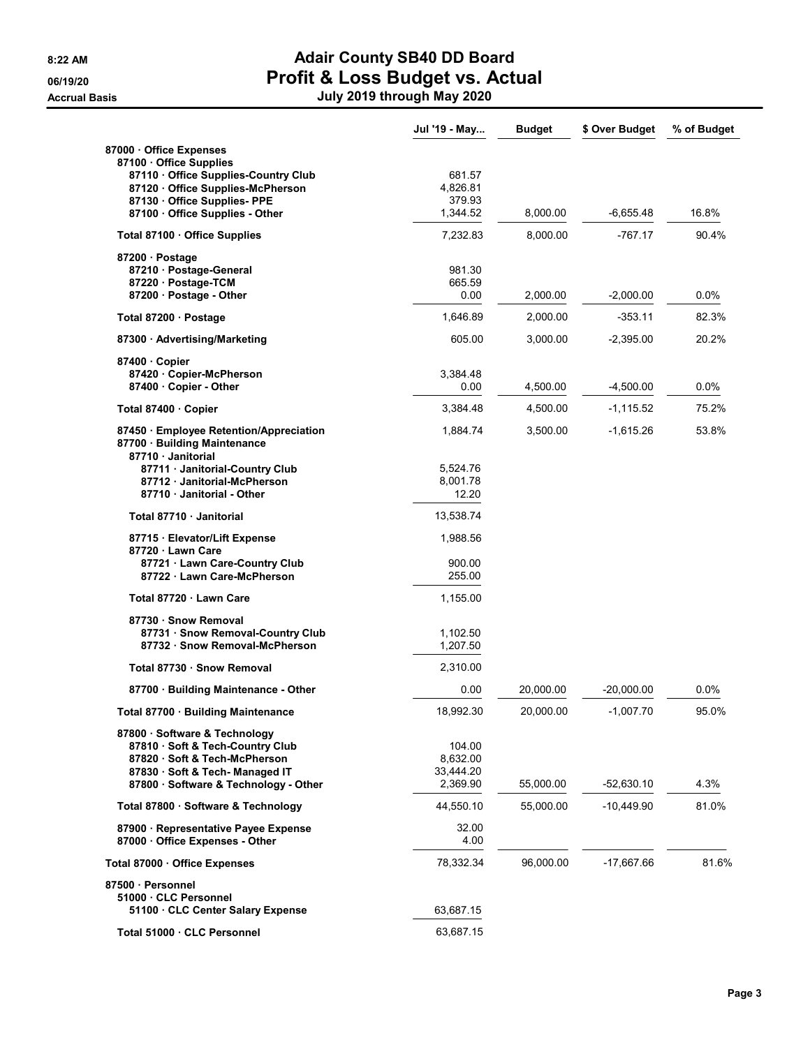|                                                                                             | Jul '19 - May      | <b>Budget</b> | \$ Over Budget | % of Budget |
|---------------------------------------------------------------------------------------------|--------------------|---------------|----------------|-------------|
| 87000 Office Expenses                                                                       |                    |               |                |             |
| 87100 · Office Supplies                                                                     |                    |               |                |             |
| 87110 Office Supplies-Country Club<br>87120 Office Supplies-McPherson                       | 681.57<br>4,826.81 |               |                |             |
| 87130 Office Supplies- PPE                                                                  | 379.93             |               |                |             |
| 87100 Office Supplies - Other                                                               | 1,344.52           | 8,000.00      | -6,655.48      | 16.8%       |
| Total 87100 · Office Supplies                                                               | 7,232.83           | 8,000.00      | $-767.17$      | 90.4%       |
| 87200 · Postage                                                                             |                    |               |                |             |
| 87210 · Postage-General                                                                     | 981.30             |               |                |             |
| 87220 · Postage-TCM<br>87200 Postage - Other                                                | 665.59<br>0.00     | 2,000.00      | $-2,000.00$    | $0.0\%$     |
| Total 87200 · Postage                                                                       | 1,646.89           | 2,000.00      | $-353.11$      | 82.3%       |
|                                                                                             |                    |               |                |             |
| 87300 Advertising/Marketing                                                                 | 605.00             | 3,000.00      | $-2,395.00$    | 20.2%       |
| 87400 Copier<br>87420 Copier-McPherson                                                      | 3,384.48           |               |                |             |
| 87400 Copier - Other                                                                        | 0.00               | 4,500.00      | $-4,500.00$    | $0.0\%$     |
|                                                                                             | 3,384.48           | 4,500.00      | $-1, 115.52$   | 75.2%       |
| Total 87400 · Copier                                                                        |                    |               |                |             |
| 87450 Employee Retention/Appreciation<br>87700 · Building Maintenance<br>87710 · Janitorial | 1,884.74           | 3,500.00      | $-1,615.26$    | 53.8%       |
| 87711 Janitorial-Country Club                                                               | 5,524.76           |               |                |             |
| 87712 Janitorial-McPherson                                                                  | 8,001.78           |               |                |             |
| 87710 Janitorial - Other                                                                    | 12.20              |               |                |             |
| Total 87710 · Janitorial                                                                    | 13,538.74          |               |                |             |
| 87715 · Elevator/Lift Expense                                                               | 1,988.56           |               |                |             |
| 87720 Lawn Care                                                                             | 900.00             |               |                |             |
| 87721 · Lawn Care-Country Club<br>87722 Lawn Care-McPherson                                 | 255.00             |               |                |             |
| Total 87720 · Lawn Care                                                                     | 1,155.00           |               |                |             |
| 87730 · Snow Removal                                                                        |                    |               |                |             |
| 87731 · Snow Removal-Country Club                                                           | 1,102.50           |               |                |             |
| 87732 · Snow Removal-McPherson                                                              | 1,207.50           |               |                |             |
| Total 87730 · Snow Removal                                                                  | 2,310.00           |               |                |             |
| 87700 · Building Maintenance - Other                                                        | 0.00               | 20,000.00     | $-20,000.00$   | 0.0%        |
| Total 87700 · Building Maintenance                                                          | 18,992.30          | 20,000.00     | $-1,007.70$    | 95.0%       |
| 87800 · Software & Technology                                                               |                    |               |                |             |
| 87810 · Soft & Tech-Country Club                                                            | 104.00             |               |                |             |
| 87820 · Soft & Tech-McPherson                                                               | 8,632.00           |               |                |             |
| 87830 · Soft & Tech-Managed IT                                                              | 33,444.20          |               |                |             |
| 87800 · Software & Technology - Other                                                       | 2,369.90           | 55,000.00     | $-52,630.10$   | 4.3%        |
| Total 87800 · Software & Technology                                                         | 44,550.10          | 55,000.00     | $-10,449.90$   | 81.0%       |
| 87900 · Representative Payee Expense                                                        | 32.00              |               |                |             |
| 87000 Office Expenses - Other                                                               | 4.00               |               |                |             |
| Total 87000 Office Expenses                                                                 | 78,332.34          | 96,000.00     | $-17.667.66$   | 81.6%       |
| 87500 · Personnel                                                                           |                    |               |                |             |
| 51000 CLC Personnel                                                                         |                    |               |                |             |
| 51100 CLC Center Salary Expense                                                             | 63,687.15          |               |                |             |
| Total 51000 · CLC Personnel                                                                 | 63,687.15          |               |                |             |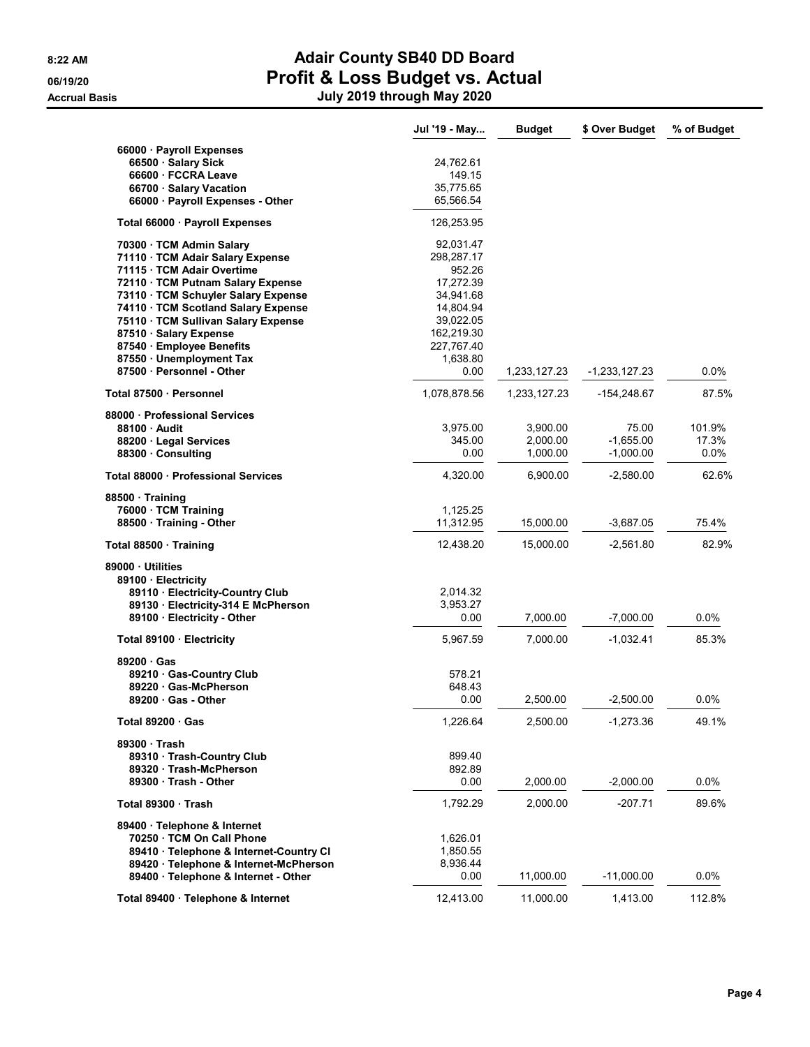|                                                       | Jul '19 - May          | <b>Budget</b> | \$ Over Budget  | % of Budget |
|-------------------------------------------------------|------------------------|---------------|-----------------|-------------|
| 66000 · Payroll Expenses                              |                        |               |                 |             |
| 66500 · Salary Sick                                   | 24,762.61              |               |                 |             |
| 66600 · FCCRA Leave                                   | 149.15                 |               |                 |             |
| 66700 · Salary Vacation                               | 35,775.65              |               |                 |             |
| 66000 · Payroll Expenses - Other                      | 65,566.54              |               |                 |             |
| Total 66000 · Payroll Expenses                        | 126,253.95             |               |                 |             |
| 70300 · TCM Admin Salary                              | 92,031.47              |               |                 |             |
| 71110 · TCM Adair Salary Expense                      | 298,287.17             |               |                 |             |
| 71115 · TCM Adair Overtime                            | 952.26                 |               |                 |             |
| 72110 · TCM Putnam Salary Expense                     | 17,272.39              |               |                 |             |
| 73110 · TCM Schuyler Salary Expense                   | 34,941.68              |               |                 |             |
| 74110 · TCM Scotland Salary Expense                   | 14,804.94              |               |                 |             |
| 75110 · TCM Sullivan Salary Expense                   | 39,022.05              |               |                 |             |
| 87510 Salary Expense                                  | 162,219.30             |               |                 |             |
| 87540 · Employee Benefits                             | 227,767.40<br>1,638.80 |               |                 |             |
| 87550 · Unemployment Tax<br>87500 · Personnel - Other | 0.00                   | 1,233,127.23  | $-1,233,127.23$ | 0.0%        |
|                                                       |                        |               |                 |             |
| Total 87500 · Personnel                               | 1,078,878.56           | 1,233,127.23  | -154,248.67     | 87.5%       |
| 88000 Professional Services                           |                        |               |                 |             |
| 88100 Audit                                           | 3,975.00               | 3,900.00      | 75.00           | 101.9%      |
| 88200 Legal Services                                  | 345.00                 | 2,000.00      | $-1,655.00$     | 17.3%       |
| 88300 Consulting                                      | 0.00                   | 1,000.00      | $-1,000.00$     | 0.0%        |
| Total 88000 · Professional Services                   | 4,320.00               | 6,900.00      | $-2,580.00$     | 62.6%       |
| 88500 Training                                        |                        |               |                 |             |
| 76000 · TCM Training                                  | 1,125.25               |               |                 |             |
| 88500 Training - Other                                | 11,312.95              | 15,000.00     | $-3,687.05$     | 75.4%       |
| Total 88500 · Training                                | 12,438.20              | 15,000.00     | $-2,561.80$     | 82.9%       |
| 89000 Utilities                                       |                        |               |                 |             |
| 89100 · Electricity                                   |                        |               |                 |             |
| 89110 · Electricity-Country Club                      | 2,014.32               |               |                 |             |
| 89130 Electricity-314 E McPherson                     | 3,953.27               |               |                 |             |
| 89100 Electricity - Other                             | 0.00                   | 7,000.00      | $-7,000.00$     | 0.0%        |
| Total 89100 · Electricity                             | 5,967.59               | 7,000.00      | $-1,032.41$     | 85.3%       |
| 89200 Gas                                             |                        |               |                 |             |
| 89210 Gas-Country Club                                | 578.21                 |               |                 |             |
| 89220 Gas-McPherson                                   | 648.43                 |               |                 |             |
| $89200 \cdot Gas$ - Other                             | 0.00                   | 2,500.00      | $-2,500.00$     | 0.0%        |
| Total 89200 · Gas                                     | 1,226.64               | 2,500.00      | $-1,273.36$     | 49.1%       |
| 89300 · Trash                                         |                        |               |                 |             |
| 89310 · Trash-Country Club                            | 899.40                 |               |                 |             |
| 89320 Trash-McPherson                                 | 892.89                 |               |                 |             |
| 89300 Trash - Other                                   | 0.00                   | 2,000.00      | $-2,000.00$     | $0.0\%$     |
| Total 89300 Trash                                     | 1,792.29               | 2,000.00      | $-207.71$       | 89.6%       |
| 89400 · Telephone & Internet                          |                        |               |                 |             |
| 70250 · TCM On Call Phone                             | 1,626.01               |               |                 |             |
| 89410 · Telephone & Internet-Country CI               | 1,850.55               |               |                 |             |
| 89420 · Telephone & Internet-McPherson                | 8,936.44               |               |                 |             |
| 89400 · Telephone & Internet - Other                  | 0.00                   | 11,000.00     | $-11,000.00$    | 0.0%        |
|                                                       |                        |               |                 |             |
| Total 89400 · Telephone & Internet                    | 12,413.00              | 11,000.00     | 1,413.00        | 112.8%      |